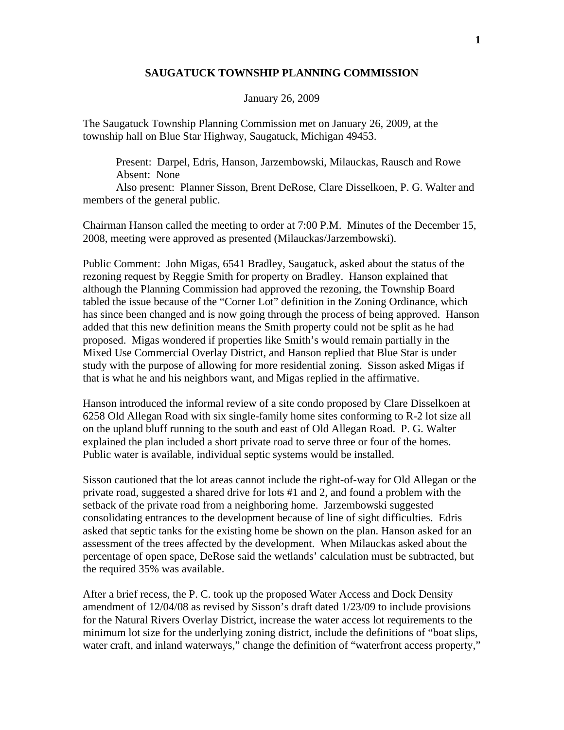## **SAUGATUCK TOWNSHIP PLANNING COMMISSION**

## January 26, 2009

The Saugatuck Township Planning Commission met on January 26, 2009, at the township hall on Blue Star Highway, Saugatuck, Michigan 49453.

 Present: Darpel, Edris, Hanson, Jarzembowski, Milauckas, Rausch and Rowe Absent: None

 Also present: Planner Sisson, Brent DeRose, Clare Disselkoen, P. G. Walter and members of the general public.

Chairman Hanson called the meeting to order at 7:00 P.M. Minutes of the December 15, 2008, meeting were approved as presented (Milauckas/Jarzembowski).

Public Comment: John Migas, 6541 Bradley, Saugatuck, asked about the status of the rezoning request by Reggie Smith for property on Bradley. Hanson explained that although the Planning Commission had approved the rezoning, the Township Board tabled the issue because of the "Corner Lot" definition in the Zoning Ordinance, which has since been changed and is now going through the process of being approved. Hanson added that this new definition means the Smith property could not be split as he had proposed. Migas wondered if properties like Smith's would remain partially in the Mixed Use Commercial Overlay District, and Hanson replied that Blue Star is under study with the purpose of allowing for more residential zoning. Sisson asked Migas if that is what he and his neighbors want, and Migas replied in the affirmative.

Hanson introduced the informal review of a site condo proposed by Clare Disselkoen at 6258 Old Allegan Road with six single-family home sites conforming to R-2 lot size all on the upland bluff running to the south and east of Old Allegan Road. P. G. Walter explained the plan included a short private road to serve three or four of the homes. Public water is available, individual septic systems would be installed.

Sisson cautioned that the lot areas cannot include the right-of-way for Old Allegan or the private road, suggested a shared drive for lots #1 and 2, and found a problem with the setback of the private road from a neighboring home. Jarzembowski suggested consolidating entrances to the development because of line of sight difficulties. Edris asked that septic tanks for the existing home be shown on the plan. Hanson asked for an assessment of the trees affected by the development. When Milauckas asked about the percentage of open space, DeRose said the wetlands' calculation must be subtracted, but the required 35% was available.

After a brief recess, the P. C. took up the proposed Water Access and Dock Density amendment of 12/04/08 as revised by Sisson's draft dated 1/23/09 to include provisions for the Natural Rivers Overlay District, increase the water access lot requirements to the minimum lot size for the underlying zoning district, include the definitions of "boat slips, water craft, and inland waterways," change the definition of "waterfront access property,"